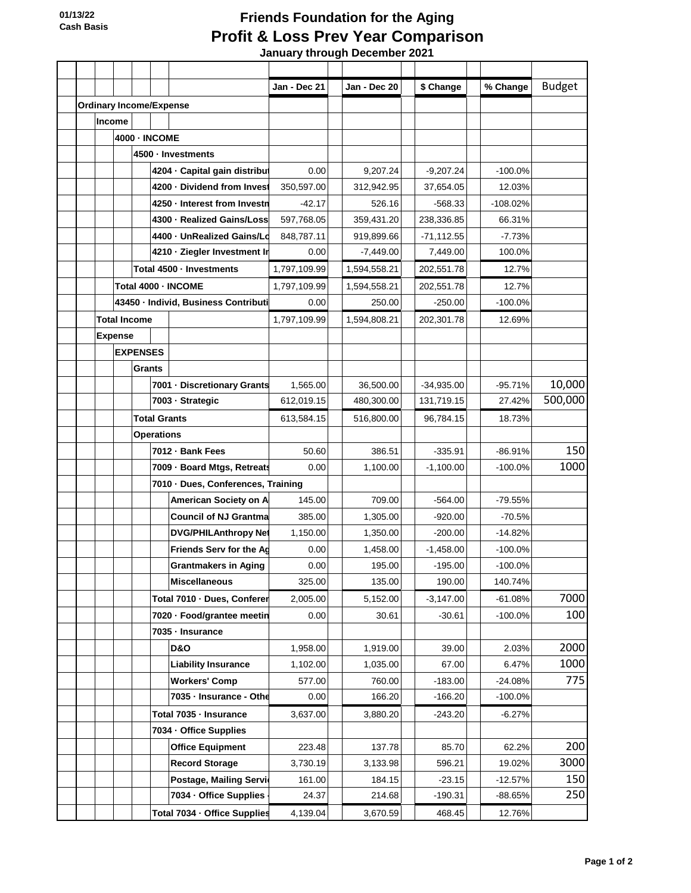## **Friends Foundation for the Aging Profit & Loss Prev Year Comparison**

 **January through December 2021**

|                                |               |                                      |                                    |  |                               | Jan - Dec 21 | Jan - Dec 20 | \$ Change    | % Change   | <b>Budget</b> |
|--------------------------------|---------------|--------------------------------------|------------------------------------|--|-------------------------------|--------------|--------------|--------------|------------|---------------|
| <b>Ordinary Income/Expense</b> |               |                                      |                                    |  |                               |              |              |              |            |               |
|                                | <b>Income</b> |                                      |                                    |  |                               |              |              |              |            |               |
|                                |               |                                      | <b>4000 - INCOME</b>               |  |                               |              |              |              |            |               |
|                                |               |                                      | 4500 · Investments                 |  |                               |              |              |              |            |               |
|                                |               |                                      |                                    |  | 4204 · Capital gain distribut | 0.00         | 9,207.24     | $-9,207.24$  | $-100.0%$  |               |
|                                |               |                                      |                                    |  | 4200 · Dividend from Invest   | 350,597.00   | 312,942.95   | 37,654.05    | 12.03%     |               |
|                                |               |                                      |                                    |  | 4250 - Interest from Investn  | $-42.17$     | 526.16       | $-568.33$    | $-108.02%$ |               |
|                                |               |                                      |                                    |  | 4300 · Realized Gains/Loss    | 597,768.05   | 359,431.20   | 238,336.85   | 66.31%     |               |
|                                |               |                                      |                                    |  | 4400 - UnRealized Gains/Ld    | 848,787.11   | 919,899.66   | $-71,112.55$ | $-7.73%$   |               |
|                                |               |                                      |                                    |  | 4210 · Ziegler Investment Ir  | 0.00         | $-7,449.00$  | 7,449.00     | 100.0%     |               |
|                                |               |                                      | Total 4500 - Investments           |  |                               | 1,797,109.99 | 1,594,558.21 | 202,551.78   | 12.7%      |               |
|                                |               |                                      |                                    |  | Total 4000 - INCOME           | 1,797,109.99 | 1,594,558.21 | 202,551.78   | 12.7%      |               |
|                                |               | 43450 - Individ, Business Contributi |                                    |  |                               | 0.00         | 250.00       | $-250.00$    | $-100.0%$  |               |
|                                |               | <b>Total Income</b>                  |                                    |  |                               | 1,797,109.99 | 1,594,808.21 | 202,301.78   | 12.69%     |               |
|                                |               | <b>Expense</b>                       |                                    |  |                               |              |              |              |            |               |
|                                |               | <b>EXPENSES</b>                      |                                    |  |                               |              |              |              |            |               |
|                                |               |                                      | Grants                             |  |                               |              |              |              |            |               |
|                                |               |                                      |                                    |  | 7001 - Discretionary Grants   | 1,565.00     | 36,500.00    | $-34,935.00$ | $-95.71%$  | 10,000        |
|                                |               |                                      |                                    |  | 7003 - Strategic              | 612,019.15   | 480,300.00   | 131,719.15   | 27.42%     | 500,000       |
|                                |               |                                      | <b>Total Grants</b>                |  |                               | 613,584.15   | 516,800.00   | 96,784.15    | 18.73%     |               |
|                                |               |                                      | <b>Operations</b>                  |  |                               |              |              |              |            |               |
|                                |               |                                      |                                    |  | 7012 · Bank Fees              | 50.60        | 386.51       | $-335.91$    | $-86.91%$  | 150           |
|                                |               |                                      |                                    |  | 7009 - Board Mtgs, Retreats   | 0.00         | 1,100.00     | $-1,100.00$  | $-100.0%$  | 1000          |
|                                |               |                                      | 7010 · Dues, Conferences, Training |  |                               |              |              |              |            |               |
|                                |               |                                      |                                    |  | American Society on A         | 145.00       | 709.00       | $-564.00$    | -79.55%    |               |
|                                |               |                                      |                                    |  | <b>Council of NJ Grantma</b>  | 385.00       | 1,305.00     | $-920.00$    | $-70.5%$   |               |
|                                |               |                                      |                                    |  | <b>DVG/PHILAnthropy Net</b>   | 1,150.00     | 1,350.00     | $-200.00$    | $-14.82%$  |               |
|                                |               |                                      |                                    |  | Friends Serv for the Ag       | 0.00         | 1,458.00     | $-1,458.00$  | $-100.0%$  |               |
|                                |               |                                      |                                    |  | <b>Grantmakers in Aging</b>   | 0.00         | 195.00       | $-195.00$    | $-100.0%$  |               |
|                                |               |                                      |                                    |  | <b>Miscellaneous</b>          | 325.00       | 135.00       | 190.00       | 140.74%    |               |
|                                |               |                                      |                                    |  | Total 7010 - Dues, Conferer   | 2,005.00     | 5,152.00     | $-3,147.00$  | $-61.08%$  | 7000          |
|                                |               |                                      |                                    |  | 7020 - Food/grantee meetin    | 0.00         | 30.61        | $-30.61$     | $-100.0%$  | 100           |
|                                |               |                                      |                                    |  | 7035 - Insurance              |              |              |              |            |               |
|                                |               |                                      |                                    |  | <b>D&amp;O</b>                | 1,958.00     | 1,919.00     | 39.00        | 2.03%      | 2000          |
|                                |               |                                      |                                    |  | <b>Liability Insurance</b>    | 1,102.00     | 1,035.00     | 67.00        | 6.47%      | 1000          |
|                                |               |                                      |                                    |  | <b>Workers' Comp</b>          | 577.00       | 760.00       | $-183.00$    | $-24.08%$  | 775           |
|                                |               |                                      |                                    |  | 7035 - Insurance - Othe       | 0.00         | 166.20       | $-166.20$    | $-100.0%$  |               |
|                                |               |                                      |                                    |  | Total 7035 - Insurance        | 3,637.00     | 3,880.20     | $-243.20$    | $-6.27%$   |               |
|                                |               |                                      | 7034 - Office Supplies             |  |                               |              |              |              |            |               |
|                                |               |                                      |                                    |  | <b>Office Equipment</b>       | 223.48       | 137.78       | 85.70        | 62.2%      | 200           |
|                                |               |                                      |                                    |  | <b>Record Storage</b>         | 3,730.19     | 3,133.98     | 596.21       | 19.02%     | 3000          |
|                                |               |                                      |                                    |  | Postage, Mailing Servic       | 161.00       | 184.15       | $-23.15$     | $-12.57%$  | 150           |
|                                |               |                                      |                                    |  | 7034 - Office Supplies -      | 24.37        | 214.68       | $-190.31$    | $-88.65%$  | 250           |
|                                |               |                                      |                                    |  | Total 7034 · Office Supplies  | 4,139.04     | 3,670.59     | 468.45       | 12.76%     |               |